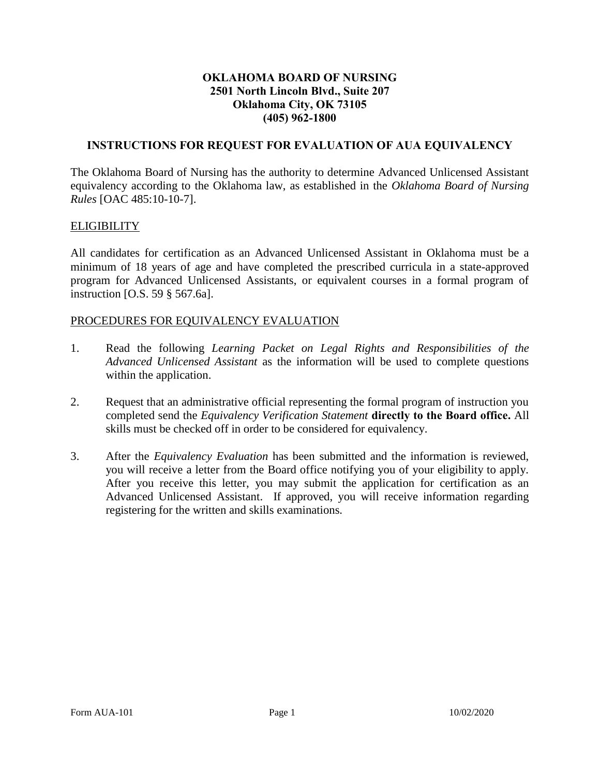#### **OKLAHOMA BOARD OF NURSING 2501 North Lincoln Blvd., Suite 207 Oklahoma City, OK 73105 (405) 962-1800**

### **INSTRUCTIONS FOR REQUEST FOR EVALUATION OF AUA EQUIVALENCY**

The Oklahoma Board of Nursing has the authority to determine Advanced Unlicensed Assistant equivalency according to the Oklahoma law, as established in the *Oklahoma Board of Nursing Rules* [OAC 485:10-10-7].

#### **ELIGIBILITY**

All candidates for certification as an Advanced Unlicensed Assistant in Oklahoma must be a minimum of 18 years of age and have completed the prescribed curricula in a state-approved program for Advanced Unlicensed Assistants, or equivalent courses in a formal program of instruction [O.S. 59 § 567.6a].

# PROCEDURES FOR EQUIVALENCY EVALUATION

- 1. Read the following *Learning Packet on Legal Rights and Responsibilities of the Advanced Unlicensed Assistant* as the information will be used to complete questions within the application.
- 2. Request that an administrative official representing the formal program of instruction you completed send the *Equivalency Verification Statement* **directly to the Board office.** All skills must be checked off in order to be considered for equivalency.
- 3. After the *Equivalency Evaluation* has been submitted and the information is reviewed, you will receive a letter from the Board office notifying you of your eligibility to apply. After you receive this letter, you may submit the application for certification as an Advanced Unlicensed Assistant. If approved, you will receive information regarding registering for the written and skills examinations.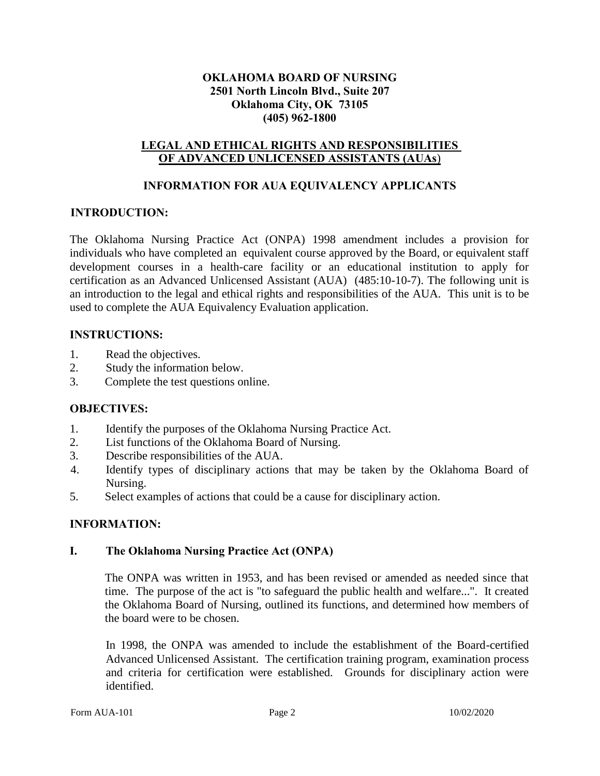#### **OKLAHOMA BOARD OF NURSING 2501 North Lincoln Blvd., Suite 207 Oklahoma City, OK 73105 (405) 962-1800**

#### **LEGAL AND ETHICAL RIGHTS AND RESPONSIBILITIES OF ADVANCED UNLICENSED ASSISTANTS (AUAs**)

#### **INFORMATION FOR AUA EQUIVALENCY APPLICANTS**

#### **INTRODUCTION:**

The Oklahoma Nursing Practice Act (ONPA) 1998 amendment includes a provision for individuals who have completed an equivalent course approved by the Board, or equivalent staff development courses in a health-care facility or an educational institution to apply for certification as an Advanced Unlicensed Assistant (AUA) (485:10-10-7). The following unit is an introduction to the legal and ethical rights and responsibilities of the AUA. This unit is to be used to complete the AUA Equivalency Evaluation application.

#### **INSTRUCTIONS:**

- 1. Read the objectives.
- 2. Study the information below.
- 3. Complete the test questions online.

# **OBJECTIVES:**

- 1. Identify the purposes of the Oklahoma Nursing Practice Act.
- 2. List functions of the Oklahoma Board of Nursing.
- 3. Describe responsibilities of the AUA.
- 4. Identify types of disciplinary actions that may be taken by the Oklahoma Board of Nursing.
- 5. Select examples of actions that could be a cause for disciplinary action.

#### **INFORMATION:**

#### **I. The Oklahoma Nursing Practice Act (ONPA)**

The ONPA was written in 1953, and has been revised or amended as needed since that time. The purpose of the act is "to safeguard the public health and welfare...". It created the Oklahoma Board of Nursing, outlined its functions, and determined how members of the board were to be chosen.

In 1998, the ONPA was amended to include the establishment of the Board-certified Advanced Unlicensed Assistant. The certification training program, examination process and criteria for certification were established. Grounds for disciplinary action were identified.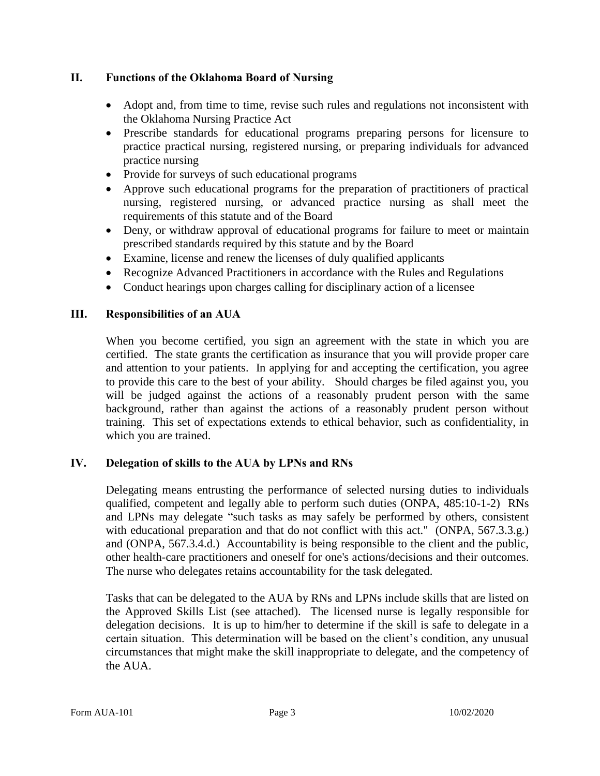### **II. Functions of the Oklahoma Board of Nursing**

- Adopt and, from time to time, revise such rules and regulations not inconsistent with the Oklahoma Nursing Practice Act
- Prescribe standards for educational programs preparing persons for licensure to practice practical nursing, registered nursing, or preparing individuals for advanced practice nursing
- Provide for surveys of such educational programs
- Approve such educational programs for the preparation of practitioners of practical nursing, registered nursing, or advanced practice nursing as shall meet the requirements of this statute and of the Board
- Deny, or withdraw approval of educational programs for failure to meet or maintain prescribed standards required by this statute and by the Board
- Examine, license and renew the licenses of duly qualified applicants
- Recognize Advanced Practitioners in accordance with the Rules and Regulations
- Conduct hearings upon charges calling for disciplinary action of a licensee

# **III. Responsibilities of an AUA**

When you become certified, you sign an agreement with the state in which you are certified. The state grants the certification as insurance that you will provide proper care and attention to your patients. In applying for and accepting the certification, you agree to provide this care to the best of your ability. Should charges be filed against you, you will be judged against the actions of a reasonably prudent person with the same background, rather than against the actions of a reasonably prudent person without training. This set of expectations extends to ethical behavior, such as confidentiality, in which you are trained.

#### **IV. Delegation of skills to the AUA by LPNs and RNs**

Delegating means entrusting the performance of selected nursing duties to individuals qualified, competent and legally able to perform such duties (ONPA, 485:10-1-2) RNs and LPNs may delegate "such tasks as may safely be performed by others, consistent with educational preparation and that do not conflict with this act." (ONPA, 567.3.3.g.) and (ONPA, 567.3.4.d.) Accountability is being responsible to the client and the public, other health-care practitioners and oneself for one's actions/decisions and their outcomes. The nurse who delegates retains accountability for the task delegated.

Tasks that can be delegated to the AUA by RNs and LPNs include skills that are listed on the Approved Skills List (see attached). The licensed nurse is legally responsible for delegation decisions. It is up to him/her to determine if the skill is safe to delegate in a certain situation. This determination will be based on the client's condition, any unusual circumstances that might make the skill inappropriate to delegate, and the competency of the AUA.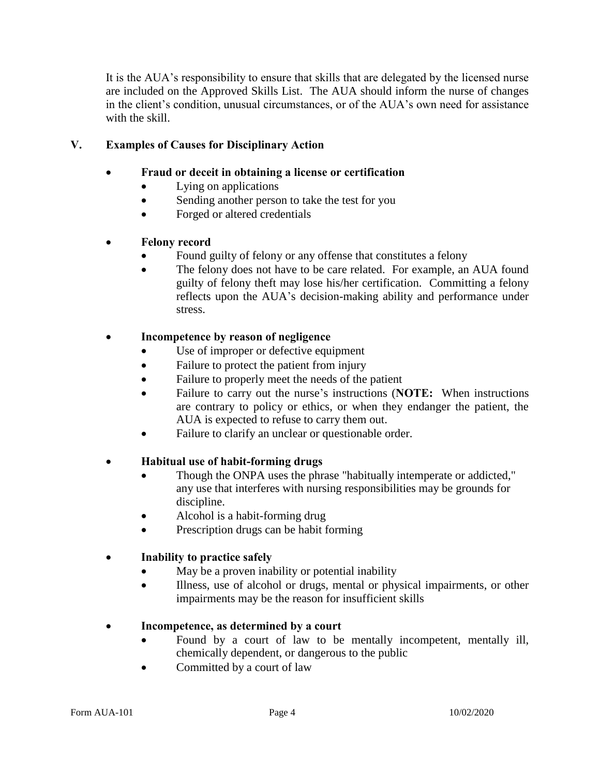It is the AUA's responsibility to ensure that skills that are delegated by the licensed nurse are included on the Approved Skills List. The AUA should inform the nurse of changes in the client's condition, unusual circumstances, or of the AUA's own need for assistance with the skill.

# **V. Examples of Causes for Disciplinary Action**

### **Fraud or deceit in obtaining a license or certification**

- Lying on applications
- Sending another person to take the test for you
- Forged or altered credentials

# **Felony record**

- Found guilty of felony or any offense that constitutes a felony
- The felony does not have to be care related. For example, an AUA found guilty of felony theft may lose his/her certification. Committing a felony reflects upon the AUA's decision-making ability and performance under stress.

# **Incompetence by reason of negligence**

- Use of improper or defective equipment
- Failure to protect the patient from injury
- Failure to properly meet the needs of the patient
- Failure to carry out the nurse's instructions (**NOTE:** When instructions are contrary to policy or ethics, or when they endanger the patient, the AUA is expected to refuse to carry them out.
- Failure to clarify an unclear or questionable order.

#### **Habitual use of habit-forming drugs**

- Though the ONPA uses the phrase "habitually intemperate or addicted," any use that interferes with nursing responsibilities may be grounds for discipline.
- Alcohol is a habit-forming drug
- Prescription drugs can be habit forming

# **Inability to practice safely**

- May be a proven inability or potential inability
- Illness, use of alcohol or drugs, mental or physical impairments, or other impairments may be the reason for insufficient skills

#### **Incompetence, as determined by a court**

- Found by a court of law to be mentally incompetent, mentally ill, chemically dependent, or dangerous to the public
- Committed by a court of law